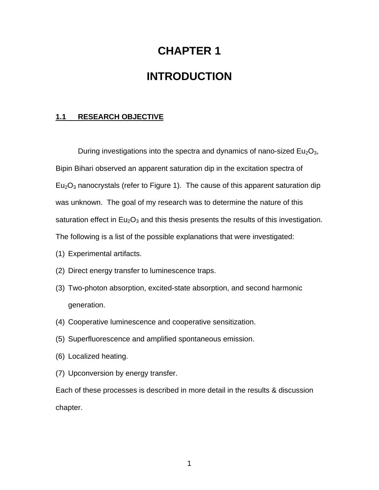# **CHAPTER 1**

## **INTRODUCTION**

#### **1.1 RESEARCH OBJECTIVE**

During investigations into the spectra and dynamics of nano-sized  $Eu<sub>2</sub>O<sub>3</sub>$ , Bipin Bihari observed an apparent saturation dip in the excitation spectra of  $Eu<sub>2</sub>O<sub>3</sub>$  nanocrystals (refer to Figure 1). The cause of this apparent saturation dip was unknown. The goal of my research was to determine the nature of this saturation effect in  $Eu_2O_3$  and this thesis presents the results of this investigation. The following is a list of the possible explanations that were investigated:

- (1) Experimental artifacts.
- (2) Direct energy transfer to luminescence traps.
- (3) Two-photon absorption, excited-state absorption, and second harmonic generation.
- (4) Cooperative luminescence and cooperative sensitization.
- (5) Superfluorescence and amplified spontaneous emission.
- (6) Localized heating.
- (7) Upconversion by energy transfer.

Each of these processes is described in more detail in the results & discussion chapter.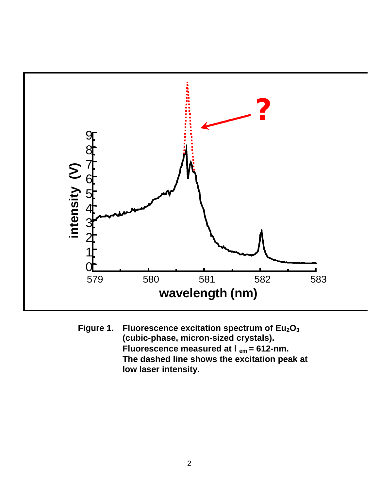

**Figure 1. Fluorescence excitation spectrum of Eu2O<sup>3</sup> (cubic-phase, micron-sized crystals). Fluorescence measured at** l**em = 612-nm. The dashed line shows the excitation peak at low laser intensity.**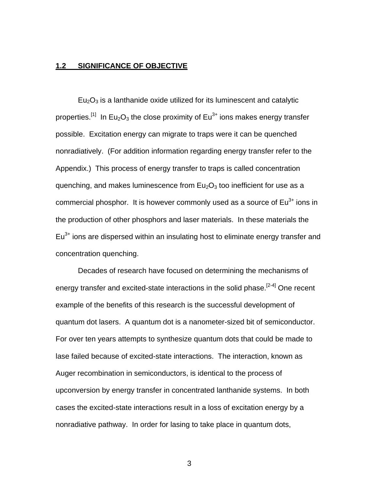#### **1.2 SIGNIFICANCE OF OBJECTIVE**

 $Eu<sub>2</sub>O<sub>3</sub>$  is a lanthanide oxide utilized for its luminescent and catalytic properties.<sup>[1]</sup> In Eu<sub>2</sub>O<sub>3</sub> the close proximity of Eu<sup>3+</sup> ions makes energy transfer possible. Excitation energy can migrate to traps were it can be quenched nonradiatively. (For addition information regarding energy transfer refer to the Appendix.) This process of energy transfer to traps is called concentration quenching, and makes luminescence from  $Eu<sub>2</sub>O<sub>3</sub>$  too inefficient for use as a commercial phosphor. It is however commonly used as a source of  $Eu<sup>3+</sup>$  ions in the production of other phosphors and laser materials. In these materials the  $Eu<sup>3+</sup>$  ions are dispersed within an insulating host to eliminate energy transfer and concentration quenching.

Decades of research have focused on determining the mechanisms of energy transfer and excited-state interactions in the solid phase.<sup>[2-4]</sup> One recent example of the benefits of this research is the successful development of quantum dot lasers. A quantum dot is a nanometer-sized bit of semiconductor. For over ten years attempts to synthesize quantum dots that could be made to lase failed because of excited-state interactions. The interaction, known as Auger recombination in semiconductors, is identical to the process of upconversion by energy transfer in concentrated lanthanide systems. In both cases the excited-state interactions result in a loss of excitation energy by a nonradiative pathway. In order for lasing to take place in quantum dots,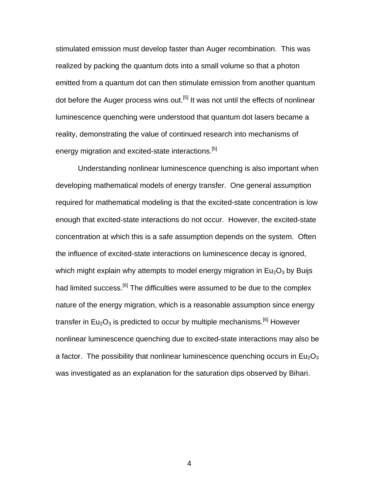stimulated emission must develop faster than Auger recombination. This was realized by packing the quantum dots into a small volume so that a photon emitted from a quantum dot can then stimulate emission from another quantum dot before the Auger process wins out.<sup>[5]</sup> It was not until the effects of nonlinear luminescence quenching were understood that quantum dot lasers became a reality, demonstrating the value of continued research into mechanisms of energy migration and excited-state interactions.<sup>[5]</sup>

Understanding nonlinear luminescence quenching is also important when developing mathematical models of energy transfer. One general assumption required for mathematical modeling is that the excited-state concentration is low enough that excited-state interactions do not occur. However, the excited-state concentration at which this is a safe assumption depends on the system. Often the influence of excited-state interactions on luminescence decay is ignored, which might explain why attempts to model energy migration in  $Eu<sub>2</sub>O<sub>3</sub>$  by Buijs had limited success.<sup>[6]</sup> The difficulties were assumed to be due to the complex nature of the energy migration, which is a reasonable assumption since energy transfer in  $Eu_2O_3$  is predicted to occur by multiple mechanisms.<sup>[6]</sup> However nonlinear luminescence quenching due to excited-state interactions may also be a factor. The possibility that nonlinear luminescence quenching occurs in  $Eu<sub>2</sub>O<sub>3</sub>$ was investigated as an explanation for the saturation dips observed by Bihari.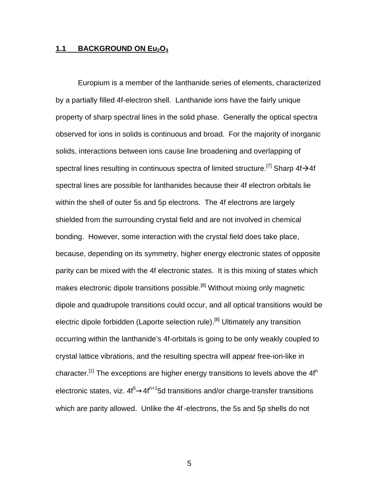#### **1.1 BACKGROUND ON Eu2O<sup>3</sup>**

Europium is a member of the lanthanide series of elements, characterized by a partially filled 4f-electron shell. Lanthanide ions have the fairly unique property of sharp spectral lines in the solid phase. Generally the optical spectra observed for ions in solids is continuous and broad. For the majority of inorganic solids, interactions between ions cause line broadening and overlapping of spectral lines resulting in continuous spectra of limited structure.<sup>[7]</sup> Sharp  $4f\rightarrow 4f$ spectral lines are possible for lanthanides because their 4f electron orbitals lie within the shell of outer 5s and 5p electrons. The 4f electrons are largely shielded from the surrounding crystal field and are not involved in chemical bonding. However, some interaction with the crystal field does take place, because, depending on its symmetry, higher energy electronic states of opposite parity can be mixed with the 4f electronic states. It is this mixing of states which makes electronic dipole transitions possible.<sup>[8]</sup> Without mixing only magnetic dipole and quadrupole transitions could occur, and all optical transitions would be electric dipole forbidden (Laporte selection rule).<sup>[8]</sup> Ultimately any transition occurring within the lanthanide's 4f-orbitals is going to be only weakly coupled to crystal lattice vibrations, and the resulting spectra will appear free-ion-like in character.<sup>[1]</sup> The exceptions are higher energy transitions to levels above the  $4f<sup>n</sup>$ electronic states, viz.  $4f^5 \rightarrow 4f^{n+1}5d$  transitions and/or charge-transfer transitions which are parity allowed. Unlike the 4f -electrons, the 5s and 5p shells do not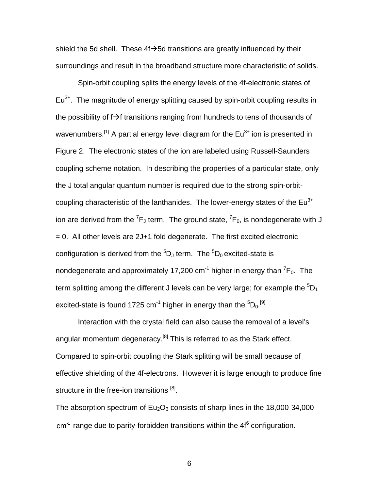shield the 5d shell. These  $4f \rightarrow 5d$  transitions are greatly influenced by their surroundings and result in the broadband structure more characteristic of solids.

Spin-orbit coupling splits the energy levels of the 4f-electronic states of  $Eu<sup>3+</sup>$ . The magnitude of energy splitting caused by spin-orbit coupling results in the possibility of  $f \rightarrow f$  transitions ranging from hundreds to tens of thousands of wavenumbers.<sup>[1]</sup> A partial energy level diagram for the  $Eu<sup>3+</sup>$  ion is presented in Figure 2. The electronic states of the ion are labeled using Russell-Saunders coupling scheme notation. In describing the properties of a particular state, only the J total angular quantum number is required due to the strong spin-orbitcoupling characteristic of the lanthanides. The lower-energy states of the  $Eu<sup>3+</sup>$ ion are derived from the  ${}^{7}\mathsf{F}_\mathsf{J}$  term. The ground state,  ${}^{7}\mathsf{F}_0$ , is nondegenerate with J  $= 0$ . All other levels are 2J+1 fold degenerate. The first excited electronic configuration is derived from the  ${}^{5}D_J$  term. The  ${}^{5}D_0$  excited-state is nondegenerate and approximately 17,200 cm $^{-1}$  higher in energy than  $^{7}$ F<sub>0</sub>. The term splitting among the different J levels can be very large; for example the  ${}^{5}D_{1}$ excited-state is found 1725 cm $^{\text{-}1}$  higher in energy than the  $^{\text{5}}\textsf{D}_0$ . $^{\text{\tiny{[9]}}}$ 

Interaction with the crystal field can also cause the removal of a level's angular momentum degeneracy.<sup>[8]</sup> This is referred to as the Stark effect. Compared to spin-orbit coupling the Stark splitting will be small because of effective shielding of the 4f-electrons. However it is large enough to produce fine structure in the free-ion transitions [8].

The absorption spectrum of  $Eu<sub>2</sub>O<sub>3</sub>$  consists of sharp lines in the 18,000-34,000  $cm<sup>-1</sup>$  range due to parity-forbidden transitions within the 4 $f<sup>6</sup>$  configuration.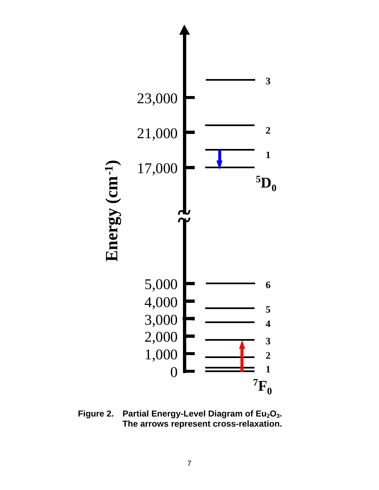

**Figure 2. Partial Energy-Level Diagram of Eu2O3. The arrows represent cross-relaxation.**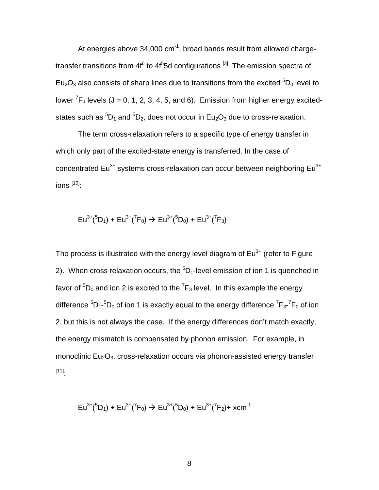At energies above  $34,000 \text{ cm}^{-1}$ , broad bands result from allowed chargetransfer transitions from 4f $^6$  to 4f $^5$ 5d configurations  $^{\rm [3]}$ . The emission spectra of Eu<sub>2</sub>O<sub>3</sub> also consists of sharp lines due to transitions from the excited  ${}^{5}D_0$  level to lower  ${}^{7}F_J$  levels (J = 0, 1, 2, 3, 4, 5, and 6). Emission from higher energy excitedstates such as  ${}^{5}D_1$  and  ${}^{5}D_2$ , does not occur in Eu<sub>2</sub>O<sub>3</sub> due to cross-relaxation.

The term cross-relaxation refers to a specific type of energy transfer in which only part of the excited-state energy is transferred. In the case of concentrated  $Eu^{3+}$  systems cross-relaxation can occur between neighboring  $Eu^{3+}$ ions  $[10]$ :

$$
Eu^{3+}(^{5}D_{1}) + Eu^{3+}(^{7}F_{0}) \rightarrow Eu^{3+}(^{5}D_{0}) + Eu^{3+}(^{7}F_{3})
$$

The process is illustrated with the energy level diagram of  $Eu<sup>3+</sup>$  (refer to Figure 2). When cross relaxation occurs, the  ${}^{5}D_{1}$ -level emission of ion 1 is quenched in favor of  $^5\mathsf{D}_0$  and ion 2 is excited to the  $^7\mathsf{F}_3$  level. In this example the energy difference  $^5\text{D}_1$ - $^5\text{D}_0$  of ion 1 is exactly equal to the energy difference  $^7\text{F}_3$ - $^7\text{F}_0$  of ion 2, but this is not always the case. If the energy differences don't match exactly, the energy mismatch is compensated by phonon emission. For example, in monoclinic  $Eu_2O_3$ , cross-relaxation occurs via phonon-assisted energy transfer [11]:

$$
Eu^{3+}(^{5}D_{1}) + Eu^{3+}(^{7}F_{0}) \rightarrow Eu^{3+}(^{5}D_{0}) + Eu^{3+}(^{7}F_{2}) + xcm^{-1}
$$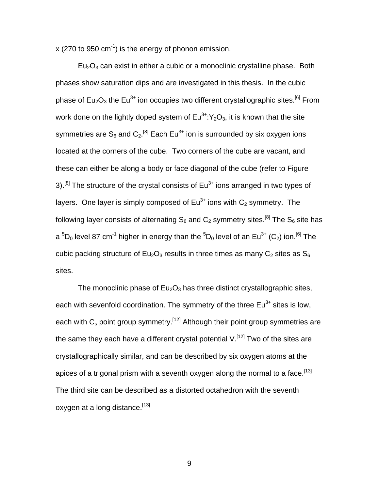$x$  (270 to 950 cm<sup>-1</sup>) is the energy of phonon emission.

 $Eu<sub>2</sub>O<sub>3</sub>$  can exist in either a cubic or a monoclinic crystalline phase. Both phases show saturation dips and are investigated in this thesis. In the cubic phase of  $Eu_2O_3$  the Eu<sup>3+</sup> ion occupies two different crystallographic sites.<sup>[6]</sup> From work done on the lightly doped system of  $Eu^{3+1}Y_2O_3$ , it is known that the site symmetries are S $_{6}$  and C $_{2}$ .<sup>[8]</sup> Each Eu $^{3+}$  ion is surrounded by six oxygen ions located at the corners of the cube. Two corners of the cube are vacant, and these can either be along a body or face diagonal of the cube (refer to Figure 3).<sup>[8]</sup> The structure of the crystal consists of  $Eu<sup>3+</sup>$  ions arranged in two types of layers. One layer is simply composed of  $Eu^{3+}$  ions with  $C_2$  symmetry. The following layer consists of alternating  $S_6$  and  $C_2$  symmetry sites.<sup>[8]</sup> The  $S_6$  site has a  ${}^{5}D_{0}$  level 87 cm<sup>-1</sup> higher in energy than the  ${}^{5}D_{0}$  level of an Eu<sup>3+</sup> (C<sub>2</sub>) ion.<sup>[6]</sup> The cubic packing structure of  $Eu_2O_3$  results in three times as many  $C_2$  sites as  $S_6$ sites.

The monoclinic phase of  $Eu<sub>2</sub>O<sub>3</sub>$  has three distinct crystallographic sites, each with sevenfold coordination. The symmetry of the three  $Eu^{3+}$  sites is low, each with  $C_s$  point group symmetry.<sup>[12]</sup> Although their point group symmetries are the same they each have a different crystal potential  $V^{[12]}$  Two of the sites are crystallographically similar, and can be described by six oxygen atoms at the apices of a trigonal prism with a seventh oxygen along the normal to a face.<sup>[13]</sup> The third site can be described as a distorted octahedron with the seventh oxygen at a long distance.<sup>[13]</sup>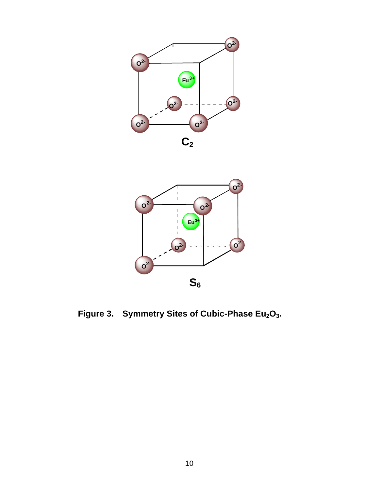



**Figure 3. Symmetry Sites of Cubic-Phase Eu2O3.**